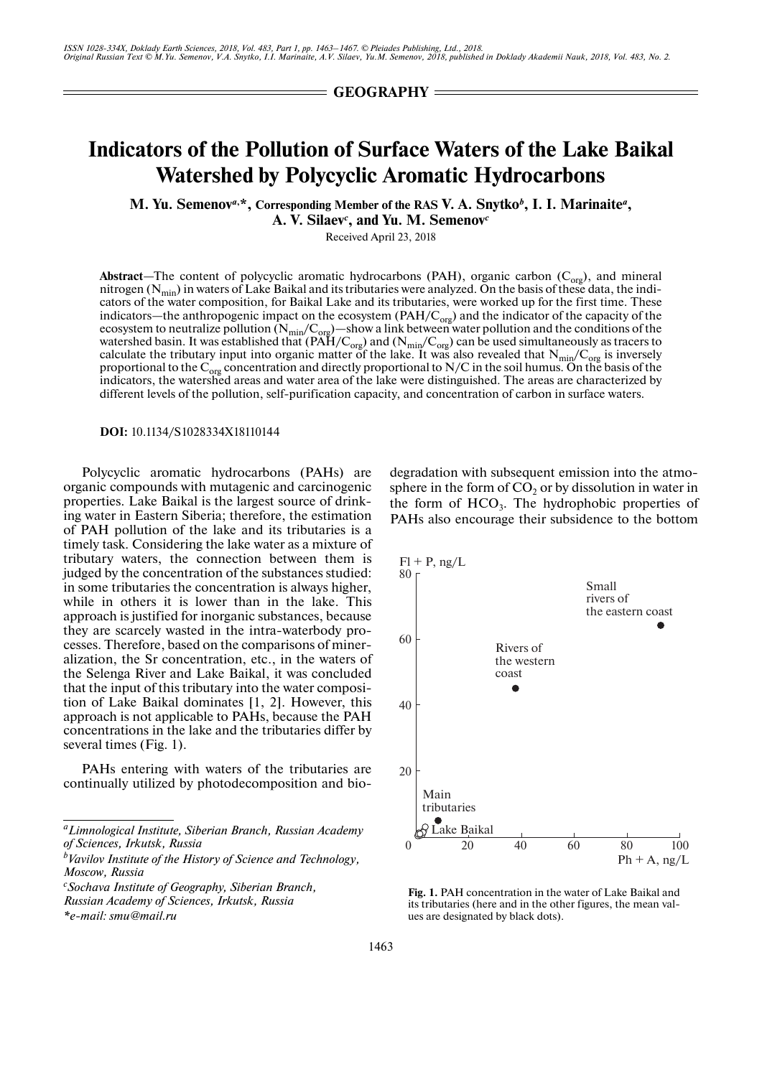$=$  GEOGRAPHY  $=$ 

## **Indicators of the Pollution of Surface Waters of the Lake Baikal Watershed by Polycyclic Aromatic Hydrocarbons**

**M. Yu. Semenov***a***, \*, Corresponding Member of the RAS V. A. Snytko***<sup>b</sup>* **, I. I. Marinaite***<sup>a</sup>* **,**

**A. V. Silaev***<sup>c</sup>* **, and Yu. M. Semenov***<sup>c</sup>*

Received April 23, 2018

Abstract—The content of polycyclic aromatic hydrocarbons (PAH), organic carbon  $(C_{org})$ , and mineral nitrogen  $(N_{\text{min}})$  in waters of Lake Baikal and its tributaries were analyzed. On the basis of these data, the indicators of the water composition, for Baikal Lake and its tributaries, were worked up for the first time. These indicators—the anthropogenic impact on the ecosystem ( $PAH/C_{org}$ ) and the indicator of the capacity of the ecosystem to neutralize pollution ( $\rm N_{min}/C_{org}$ )—show a link between water pollution and the conditions of the watershed basin. It was established that ( $\rm P\bar{A}H/C_{org}$ ) and ( $\rm N_{min}/C_{org}$ ) can be used simultaneously as tracers to calculate the tributary input into organic matter of the lake. It was also revealed that  $N_{min}/C_{org}$  is inversely proportional to the  $C_{org}$  concentration and directly proportional to N/C in the soil humus. On the basis of the indicators, the watershed areas and water area of the lake were distinguished. The areas are characterized by different levels of the pollution, self-purification capacity, and concentration of carbon in surface waters.

**DOI:** 10.1134/S1028334X18110144

Polycyclic aromatic hydrocarbons (PAHs) are organic compounds with mutagenic and carcinogenic properties. Lake Baikal is the largest source of drinking water in Eastern Siberia; therefore, the estimation of PAH pollution of the lake and its tributaries is a timely task. Considering the lake water as a mixture of tributary waters, the connection between them is judged by the concentration of the substances studied: in some tributaries the concentration is always higher, while in others it is lower than in the lake. This approach is justified for inorganic substances, because they are scarcely wasted in the intra-waterbody processes. Therefore, based on the comparisons of mineralization, the Sr concentration, etc., in the waters of the Selenga River and Lake Baikal, it was concluded that the input of this tributary into the water composition of Lake Baikal dominates [1, 2]. However, this approach is not applicable to PAHs, because the PAH concentrations in the lake and the tributaries differ by several times (Fig. 1).

PAHs entering with waters of the tributaries are continually utilized by photodecomposition and bio-

degradation with subsequent emission into the atmosphere in the form of  $CO<sub>2</sub>$  or by dissolution in water in the form of HCO<sub>3</sub>. The hydrophobic properties of PAHs also encourage their subsidence to the bottom



**Fig. 1.** PAH concentration in the water of Lake Baikal and its tributaries (here and in the other figures, the mean values are designated by black dots).

*aLimnological Institute, Siberian Branch, Russian Academy of Sciences, Irkutsk, Russia*

*b Vavilov Institute of the History of Science and Technology, Moscow, Russia*

*c Sochava Institute of Geography, Siberian Branch,* 

*Russian Academy of Sciences, Irkutsk, Russia*

*<sup>\*</sup>e-mail: smu@mail.ru*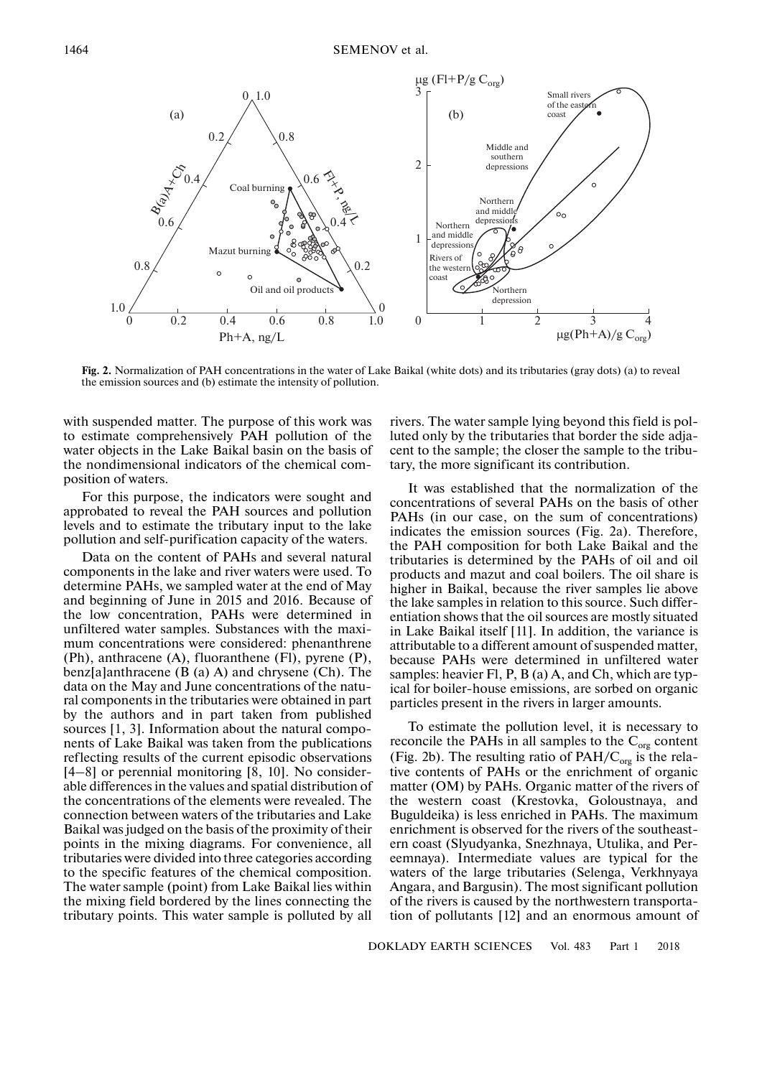

**Fig. 2.** Normalization of PAH concentrations in the water of Lake Baikal (white dots) and its tributaries (gray dots) (a) to reveal the emission sources and (b) estimate the intensity of pollution.

with suspended matter. The purpose of this work was to estimate comprehensively PAH pollution of the water objects in the Lake Baikal basin on the basis of the nondimensional indicators of the chemical composition of waters.

For this purpose, the indicators were sought and approbated to reveal the PAH sources and pollution levels and to estimate the tributary input to the lake pollution and self-purification capacity of the waters.

Data on the content of PAHs and several natural components in the lake and river waters were used. To determine PAHs, we sampled water at the end of May and beginning of June in 2015 and 2016. Because of the low concentration, PAHs were determined in unfiltered water samples. Substances with the maximum concentrations were considered: phenanthrene (Ph), anthracene (A), fluoranthene (Fl), pyrene (P), benz[a]anthracene (B (a) A) and chrysene (Ch). The data on the May and June concentrations of the natural components in the tributaries were obtained in part by the authors and in part taken from published sources [1, 3]. Information about the natural components of Lake Baikal was taken from the publications reflecting results of the current episodic observations [4–8] or perennial monitoring [8, 10]. No considerable differences in the values and spatial distribution of the concentrations of the elements were revealed. The connection between waters of the tributaries and Lake Baikal was judged on the basis of the proximity of their points in the mixing diagrams. For convenience, all tributaries were divided into three categories according to the specific features of the chemical composition. The water sample (point) from Lake Baikal lies within the mixing field bordered by the lines connecting the tributary points. This water sample is polluted by all

rivers. The water sample lying beyond this field is polluted only by the tributaries that border the side adjacent to the sample; the closer the sample to the tributary, the more significant its contribution.

It was established that the normalization of the concentrations of several PAHs on the basis of other PAHs (in our case, on the sum of concentrations) indicates the emission sources (Fig. 2a). Therefore, the PAH composition for both Lake Baikal and the tributaries is determined by the PAHs of oil and oil products and mazut and coal boilers. The oil share is higher in Baikal, because the river samples lie above the lake samples in relation to this source. Such differentiation shows that the oil sources are mostly situated in Lake Baikal itself [11]. In addition, the variance is attributable to a different amount of suspended matter, because PAHs were determined in unfiltered water samples: heavier Fl, P, B (a) A, and Ch, which are typical for boiler-house emissions, are sorbed on organic particles present in the rivers in larger amounts.

To estimate the pollution level, it is necessary to reconcile the PAHs in all samples to the  $C_{org}$  content (Fig. 2b). The resulting ratio of  $PAH/C_{org}$  is the relative contents of PAHs or the enrichment of organic matter (OM) by PAHs. Organic matter of the rivers of the western coast (Krestovka, Goloustnaya, and Buguldeika) is less enriched in PAHs. The maximum enrichment is observed for the rivers of the southeastern coast (Slyudyanka, Snezhnaya, Utulika, and Pereemnaya). Intermediate values are typical for the waters of the large tributaries (Selenga, Verkhnyaya Angara, and Bargusin). The most significant pollution of the rivers is caused by the northwestern transportation of pollutants [12] and an enormous amount of

DOKLADY EARTH SCIENCES Vol. 483 Part 1 2018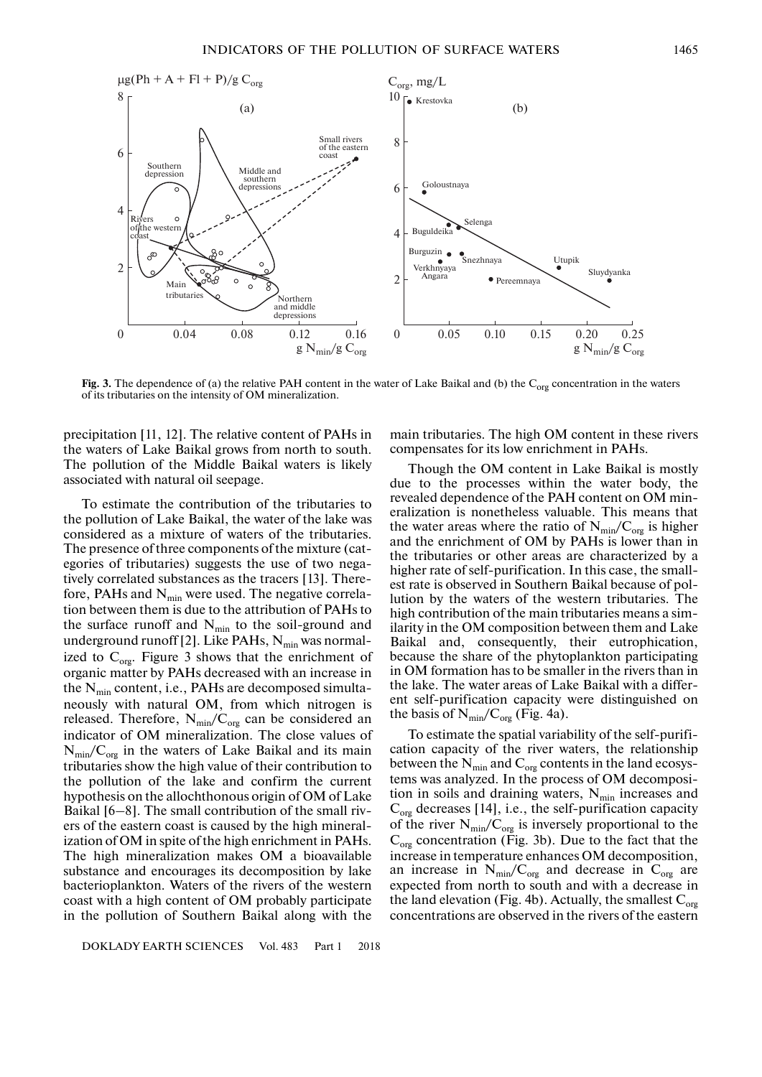

Fig. 3. The dependence of (a) the relative PAH content in the water of Lake Baikal and (b) the C<sub>org</sub> concentration in the waters of its tributaries on the intensity of OM mineralization.

precipitation [11, 12]. The relative content of PAHs in the waters of Lake Baikal grows from north to south. The pollution of the Middle Baikal waters is likely associated with natural oil seepage.

To estimate the contribution of the tributaries to the pollution of Lake Baikal, the water of the lake was considered as a mixture of waters of the tributaries. The presence of three components of the mixture (categories of tributaries) suggests the use of two negatively correlated substances as the tracers [13]. Therefore, PAHs and  $N_{\text{min}}$  were used. The negative correlation between them is due to the attribution of PAHs to the surface runoff and  $N_{min}$  to the soil-ground and underground runoff [2]. Like PAHs,  $N_{min}$  was normalized to  $C_{\text{org}}$ . Figure 3 shows that the enrichment of organic matter by PAHs decreased with an increase in the  $N_{\text{min}}$  content, i.e., PAHs are decomposed simultaneously with natural OM, from which nitrogen is released. Therefore,  $N_{min}/C_{org}$  can be considered an indicator of OM mineralization. The close values of  $N_{\text{min}}/C_{\text{org}}$  in the waters of Lake Baikal and its main tributaries show the high value of their contribution to the pollution of the lake and confirm the current hypothesis on the allochthonous origin of OM of Lake Baikal [6–8]. The small contribution of the small rivers of the eastern coast is caused by the high mineralization of OM in spite of the high enrichment in PAHs. The high mineralization makes OM a bioavailable substance and encourages its decomposition by lake bacterioplankton. Waters of the rivers of the western coast with a high content of OM probably participate in the pollution of Southern Baikal along with the

DOKLADY EARTH SCIENCES Vol. 483 Part 1 2018

main tributaries. The high OM content in these rivers compensates for its low enrichment in PAHs.

Though the OM content in Lake Baikal is mostly due to the processes within the water body, the revealed dependence of the PAH content on OM mineralization is nonetheless valuable. This means that the water areas where the ratio of  $N_{min}/C_{\text{org}}$  is higher and the enrichment of OM by PAHs is lower than in the tributaries or other areas are characterized by a higher rate of self-purification. In this case, the smallest rate is observed in Southern Baikal because of pollution by the waters of the western tributaries. The high contribution of the main tributaries means a similarity in the OM composition between them and Lake Baikal and, consequently, their eutrophication, because the share of the phytoplankton participating in OM formation has to be smaller in the rivers than in the lake. The water areas of Lake Baikal with a different self-purification capacity were distinguished on the basis of  $N_{min}/C_{org}$  (Fig. 4a).

To estimate the spatial variability of the self-purification capacity of the river waters, the relationship between the  $N_{\text{min}}$  and  $C_{\text{org}}$  contents in the land ecosystems was analyzed. In the process of OM decomposition in soils and draining waters,  $N_{min}$  increases and  $C_{\text{org}}$  decreases [14], i.e., the self-purification capacity of the river  $N_{min}/C_{org}$  is inversely proportional to the  $C_{org}$  concentration (Fig. 3b). Due to the fact that the increase in temperature enhances OM decomposition, an increase in  $N_{\text{min}}/C_{\text{org}}$  and decrease in  $C_{\text{org}}$  are expected from north to south and with a decrease in the land elevation (Fig. 4b). Actually, the smallest  $C_{org}$ concentrations are observed in the rivers of the eastern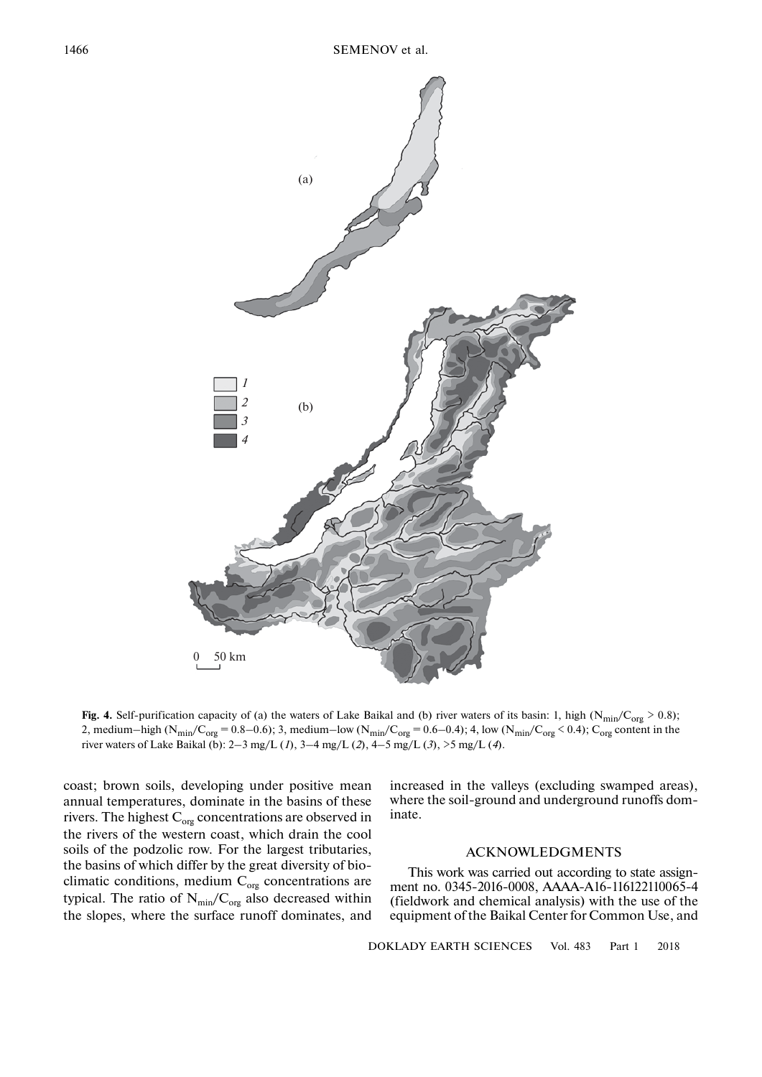

**Fig. 4.** Self-purification capacity of (a) the waters of Lake Baikal and (b) river waters of its basin: 1, high ( $N_{min}/C_{org} > 0.8$ ); 2, medium–high ( $N_{min}/C_{org} = 0.8-0.6$ ); 3, medium–low ( $N_{min}/C_{org} = 0.6-0.4$ ); 4, low ( $N_{min}/C_{org} < 0.4$ );  $C_{org}$  content in the river waters of Lake Baikal (b): 2–3 mg/L (*1*), 3–4 mg/L (*2*), 4–5 mg/L (*3*), >5 mg/L (*4*).

coast; brown soils, developing under positive mean annual temperatures, dominate in the basins of these rivers. The highest  $\mathbf{C}_{\text{org}}$  concentrations are observed in the rivers of the western coast, which drain the cool soils of the podzolic row. For the largest tributaries, the basins of which differ by the great diversity of bioclimatic conditions, medium  $C_{org}$  concentrations are typical. The ratio of  $N_{min}/C_{org}$  also decreased within the slopes, where the surface runoff dominates, and

increased in the valleys (excluding swamped areas), where the soil-ground and underground runoffs dominate.

## ACKNOWLEDGMENTS

This work was carried out according to state assignment no. 0345-2016-0008, AAAA-A16-116122110065-4 (fieldwork and chemical analysis) with the use of the equipment of the Baikal Center for Common Use, and

DOKLADY EARTH SCIENCES Vol. 483 Part 1 2018